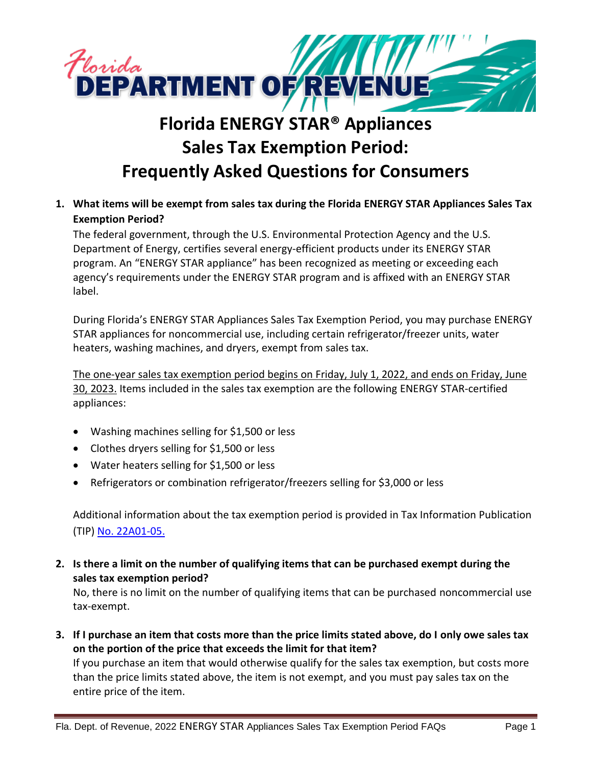

# **Florida ENERGY STAR® Appliances Sales Tax Exemption Period: Frequently Asked Questions for Consumers**

**1. What items will be exempt from sales tax during the Florida ENERGY STAR Appliances Sales Tax Exemption Period?**

The federal government, through the U.S. Environmental Protection Agency and the U.S. Department of Energy, certifies several energy-efficient products under its ENERGY STAR program. An "ENERGY STAR appliance" has been recognized as meeting or exceeding each agency's requirements under the ENERGY STAR program and is affixed with an ENERGY STAR label.

During Florida's ENERGY STAR Appliances Sales Tax Exemption Period, you may purchase ENERGY STAR appliances for noncommercial use, including certain refrigerator/freezer units, water heaters, washing machines, and dryers, exempt from sales tax.

The one-year sales tax exemption period begins on Friday, July 1, 2022, and ends on Friday, June 30, 2023. Items included in the sales tax exemption are the following ENERGY STAR-certified appliances:

- Washing machines selling for \$1,500 or less
- Clothes dryers selling for \$1,500 or less
- Water heaters selling for \$1,500 or less
- Refrigerators or combination refrigerator/freezers selling for \$3,000 or less

Additional information about the tax exemption period is provided in Tax Information Publication (TIP) [No. 22A01-05.](https://floridarevenue.com/taxes/tips/Documents/TIP_22A01-05.pdf)

**2. Is there a limit on the number of qualifying items that can be purchased exempt during the sales tax exemption period?**

No, there is no limit on the number of qualifying items that can be purchased noncommercial use tax-exempt.

**3. If I purchase an item that costs more than the price limits stated above, do I only owe sales tax on the portion of the price that exceeds the limit for that item?**

If you purchase an item that would otherwise qualify for the sales tax exemption, but costs more than the price limits stated above, the item is not exempt, and you must pay sales tax on the entire price of the item.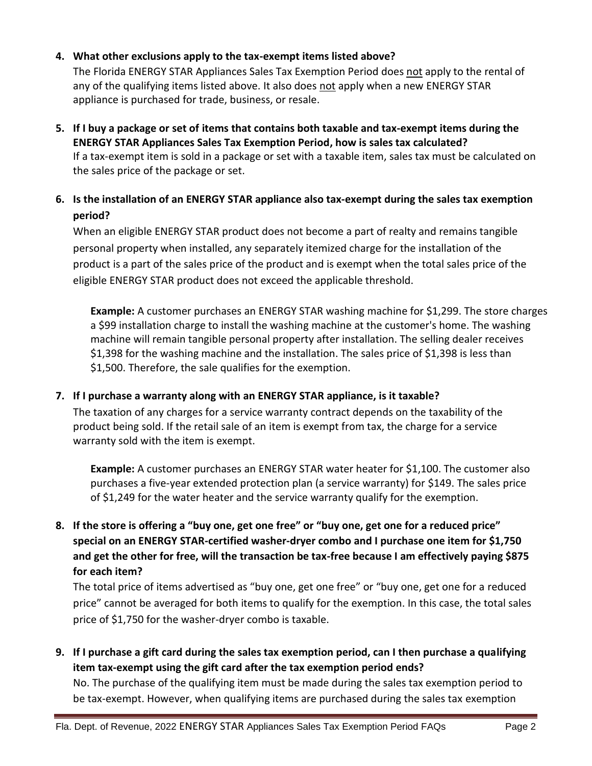#### **4. What other exclusions apply to the tax-exempt items listed above?**

The Florida ENERGY STAR Appliances Sales Tax Exemption Period does not apply to the rental of any of the qualifying items listed above. It also does not apply when a new ENERGY STAR appliance is purchased for trade, business, or resale.

- **5. If I buy a package or set of items that contains both taxable and tax-exempt items during the ENERGY STAR Appliances Sales Tax Exemption Period, how is sales tax calculated?** If a tax-exempt item is sold in a package or set with a taxable item, sales tax must be calculated on the sales price of the package or set.
- **6. Is the installation of an ENERGY STAR appliance also tax-exempt during the sales tax exemption period?**

When an eligible ENERGY STAR product does not become a part of realty and remains tangible personal property when installed, any separately itemized charge for the installation of the product is a part of the sales price of the product and is exempt when the total sales price of the eligible ENERGY STAR product does not exceed the applicable threshold.

**Example:** A customer purchases an ENERGY STAR washing machine for \$1,299. The store charges a \$99 installation charge to install the washing machine at the customer's home. The washing machine will remain tangible personal property after installation. The selling dealer receives \$1,398 for the washing machine and the installation. The sales price of \$1,398 is less than \$1,500. Therefore, the sale qualifies for the exemption.

#### **7. If I purchase a warranty along with an ENERGY STAR appliance, is it taxable?**

The taxation of any charges for a service warranty contract depends on the taxability of the product being sold. If the retail sale of an item is exempt from tax, the charge for a service warranty sold with the item is exempt.

**Example:** A customer purchases an ENERGY STAR water heater for \$1,100. The customer also purchases a five-year extended protection plan (a service warranty) for \$149. The sales price of \$1,249 for the water heater and the service warranty qualify for the exemption.

## **8. If the store is offering a "buy one, get one free" or "buy one, get one for a reduced price" special on an ENERGY STAR-certified washer-dryer combo and I purchase one item for \$1,750 and get the other for free, will the transaction be tax-free because I am effectively paying \$875 for each item?**

The total price of items advertised as "buy one, get one free" or "buy one, get one for a reduced price" cannot be averaged for both items to qualify for the exemption. In this case, the total sales price of \$1,750 for the washer-dryer combo is taxable.

**9. If I purchase a gift card during the sales tax exemption period, can I then purchase a qualifying item tax-exempt using the gift card after the tax exemption period ends?**

No. The purchase of the qualifying item must be made during the sales tax exemption period to be tax-exempt. However, when qualifying items are purchased during the sales tax exemption